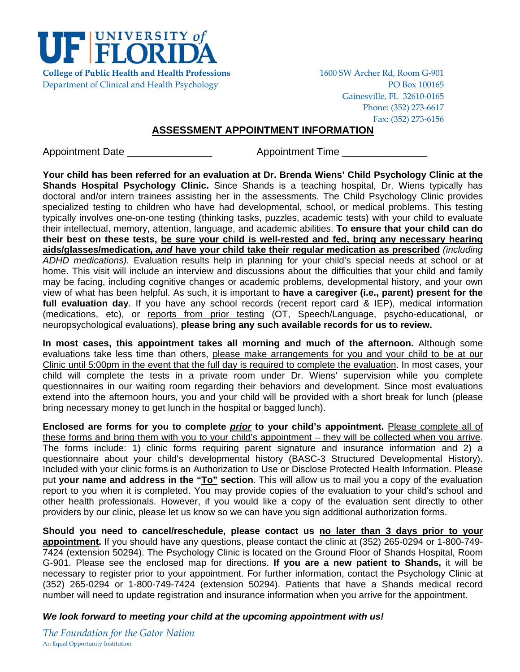

Department of Clinical and Health Psychology PO Box 100165

**College of Public Health and Health Professions** 1600 SW Archer Rd, Room G‐901 Gainesville, FL 32610‐0165 Phone: (352) 273‐6617 Fax: (352) 273‐6156

# **ASSESSMENT APPOINTMENT INFORMATION**

Appointment Date **Appointment Time** 

**Your child has been referred for an evaluation at Dr. Brenda Wiens' Child Psychology Clinic at the Shands Hospital Psychology Clinic.** Since Shands is a teaching hospital, Dr. Wiens typically has doctoral and/or intern trainees assisting her in the assessments. The Child Psychology Clinic provides specialized testing to children who have had developmental, school, or medical problems. This testing typically involves one-on-one testing (thinking tasks, puzzles, academic tests) with your child to evaluate their intellectual, memory, attention, language, and academic abilities. **To ensure that your child can do their best on these tests, be sure your child is well-rested and fed, bring any necessary hearing aids/glasses/medication,** *and* **have your child take their regular medication as prescribed** *(including ADHD medications).* Evaluation results help in planning for your child's special needs at school or at home. This visit will include an interview and discussions about the difficulties that your child and family may be facing, including cognitive changes or academic problems, developmental history, and your own view of what has been helpful. As such, it is important to **have a caregiver (i.e., parent) present for the full evaluation day**. If you have any school records (recent report card & IEP), medical information (medications, etc), or reports from prior testing (OT, Speech/Language, psycho-educational, or neuropsychological evaluations), **please bring any such available records for us to review.** 

**In most cases, this appointment takes all morning and much of the afternoon.** Although some evaluations take less time than others, please make arrangements for you and your child to be at our Clinic until 5:00pm in the event that the full day is required to complete the evaluation. In most cases, your child will complete the tests in a private room under Dr. Wiens' supervision while you complete questionnaires in our waiting room regarding their behaviors and development. Since most evaluations extend into the afternoon hours, you and your child will be provided with a short break for lunch (please bring necessary money to get lunch in the hospital or bagged lunch).

**Enclosed are forms for you to complete** *prior* **to your child's appointment.** Please complete all of these forms and bring them with you to your child's appointment – they will be collected when you arrive. The forms include: 1) clinic forms requiring parent signature and insurance information and 2) a questionnaire about your child's developmental history (BASC-3 Structured Developmental History). Included with your clinic forms is an Authorization to Use or Disclose Protected Health Information. Please put **your name and address in the "To" section**. This will allow us to mail you a copy of the evaluation report to you when it is completed. You may provide copies of the evaluation to your child's school and other health professionals. However, if you would like a copy of the evaluation sent directly to other providers by our clinic, please let us know so we can have you sign additional authorization forms.

**Should you need to cancel/reschedule, please contact us no later than 3 days prior to your appointment.** If you should have any questions, please contact the clinic at (352) 265-0294 or 1-800-749- 7424 (extension 50294). The Psychology Clinic is located on the Ground Floor of Shands Hospital, Room G-901. Please see the enclosed map for directions. **If you are a new patient to Shands,** it will be necessary to register prior to your appointment. For further information, contact the Psychology Clinic at (352) 265-0294 or 1-800-749-7424 (extension 50294). Patients that have a Shands medical record number will need to update registration and insurance information when you arrive for the appointment.

# *We look forward to meeting your child at the upcoming appointment with us!*

*The Foundation for the Gator Nation* An Equal Opportunity Institution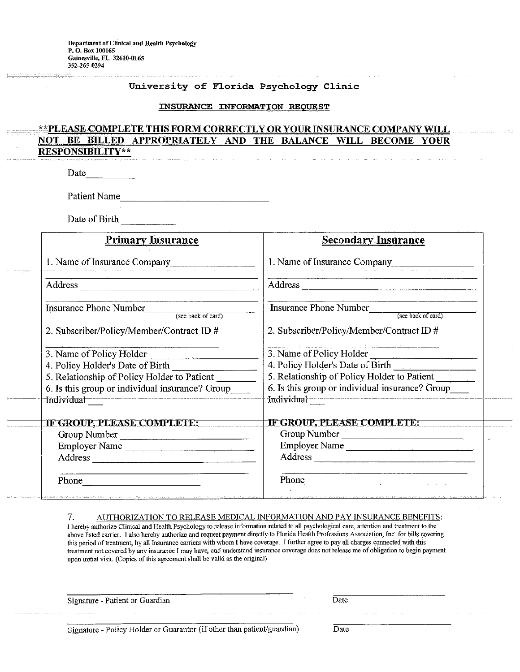#### University of Florida Psychology Clinic

#### INSURANCE INFORMATION REQUEST

#### \*\*PLEASE COMPLETE THIS FORM CORRECTLY OR YOUR INSURANCE COMPANY WILL **NOT** BILLED APPROPRIATELY AND THE BALANCE WILL BECOME **BE YOUR RESPONSIBILITY\*\***

Date

Patient Name

Date of Birth

| <b>Primary Insurance</b>                                                                                                                                                                                                        | <b>Secondary Insurance</b>                          |  |  |  |  |
|---------------------------------------------------------------------------------------------------------------------------------------------------------------------------------------------------------------------------------|-----------------------------------------------------|--|--|--|--|
| 1. Name of Insurance Company                                                                                                                                                                                                    | 1. Name of Insurance Company                        |  |  |  |  |
|                                                                                                                                                                                                                                 | Address                                             |  |  |  |  |
| <b>Insurance Phone Number</b><br>(see back of card)                                                                                                                                                                             | <b>Insurance Phone Number</b><br>(see back of card) |  |  |  |  |
| 2. Subscriber/Policy/Member/Contract ID #                                                                                                                                                                                       | 2. Subscriber/Policy/Member/Contract ID #           |  |  |  |  |
| 3. Name of Policy Holder<br>$\label{eq:1} \begin{split} \mathcal{L}_{\text{max}}(\mathcal{L}_{\text{max}},\mathcal{L}_{\text{max}},\mathcal{L}_{\text{max}}) = \mathcal{L}_{\text{max}}(\mathcal{L}_{\text{max}}), \end{split}$ | 3. Name of Policy Holder                            |  |  |  |  |
| 4. Policy Holder's Date of Birth                                                                                                                                                                                                | 4. Policy Holder's Date of Birth                    |  |  |  |  |
| 5. Relationship of Policy Holder to Patient                                                                                                                                                                                     | 5. Relationship of Policy Holder to Patient         |  |  |  |  |
| 6. Is this group or individual insurance? Group                                                                                                                                                                                 | 6. Is this group or individual insurance? Group     |  |  |  |  |
| Individual                                                                                                                                                                                                                      | Individual                                          |  |  |  |  |
| IF GROUP, PLEASE COMPLETE:                                                                                                                                                                                                      | IF GROUP, PLEASE COMPLETE:                          |  |  |  |  |
| Group Number                                                                                                                                                                                                                    | Group Number                                        |  |  |  |  |
| Employer Name                                                                                                                                                                                                                   | Employer Name                                       |  |  |  |  |
|                                                                                                                                                                                                                                 | Address                                             |  |  |  |  |
|                                                                                                                                                                                                                                 | Phone                                               |  |  |  |  |

#### AUTHORIZATION TO RELEASE MEDICAL INFORMATION AND PAY INSURANCE BENEFITS: 7.

I hereby authorize Clinical and Health Psychology to release information related to all psychological care, attention and treatment to the above listed carrier. I also hereby authorize and request payment directly to Florida Health Professions Association, Inc. for bills covering this period of treatment, by all Insurance carriers with whom I have coverage. I further agree to pay all charges connected with this treatment not covered by any insurance I may have, and understand insurance coverage does not release me of obligation to begin payment upon initial visit. (Copies of this agreement shall be valid as the original)

Signature - Patient or Guardian

 $\mathbb{R}^{\mathbb{Z}}$ 

Signature - Policy Holder or Guarantor (if other than patient/guardian)

Date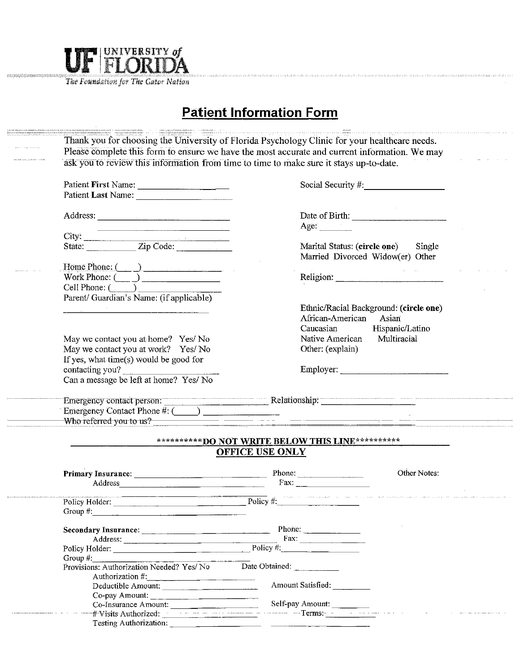

The Foundation for The Gator Nation

# **Patient Information Form**

|                                                                                                                                                                                                                                | Please complete this form to ensure we have the most accurate and current information. We may                                                                                                                                  |
|--------------------------------------------------------------------------------------------------------------------------------------------------------------------------------------------------------------------------------|--------------------------------------------------------------------------------------------------------------------------------------------------------------------------------------------------------------------------------|
|                                                                                                                                                                                                                                | ask you to review this information from time to time to make sure it stays up-to-date.                                                                                                                                         |
| Patient First Name:                                                                                                                                                                                                            | Social Security #                                                                                                                                                                                                              |
|                                                                                                                                                                                                                                |                                                                                                                                                                                                                                |
|                                                                                                                                                                                                                                |                                                                                                                                                                                                                                |
| Address:                                                                                                                                                                                                                       | Date of Birth:                                                                                                                                                                                                                 |
| the contract of the contract of the contract of the contract of the contract of                                                                                                                                                | Age: $\qquad \qquad$                                                                                                                                                                                                           |
|                                                                                                                                                                                                                                |                                                                                                                                                                                                                                |
|                                                                                                                                                                                                                                | Marital Status: (circle one) Single                                                                                                                                                                                            |
|                                                                                                                                                                                                                                | Married Divorced Widow(er) Other                                                                                                                                                                                               |
| Home Phone: ( )                                                                                                                                                                                                                |                                                                                                                                                                                                                                |
| Work Phone: $\overline{(\phantom{a})}$                                                                                                                                                                                         | Religion: New York Changes and the Changes of the Changes of the Changes of the Changes of the Changes of the Changes of the Changes of the Changes of the Changes of the Changes of the Changes of the Changes of the Changes |
| $Cell$ Phone: $(\_\_\_\_\_\_\$                                                                                                                                                                                                 |                                                                                                                                                                                                                                |
| Parent/ Guardian's Name: (if applicable)                                                                                                                                                                                       |                                                                                                                                                                                                                                |
|                                                                                                                                                                                                                                | Ethnic/Racial Background: (circle one)                                                                                                                                                                                         |
|                                                                                                                                                                                                                                | African-American<br>Asian                                                                                                                                                                                                      |
|                                                                                                                                                                                                                                | Hispanic/Latino<br>Caucasian                                                                                                                                                                                                   |
| May we contact you at home? Yes/No                                                                                                                                                                                             | Native American<br>Multiracial                                                                                                                                                                                                 |
| May we contact you at work? Yes/No                                                                                                                                                                                             | Other: (explain)                                                                                                                                                                                                               |
| If yes, what time(s) would be good for                                                                                                                                                                                         |                                                                                                                                                                                                                                |
| contacting you?                                                                                                                                                                                                                | Employer:                                                                                                                                                                                                                      |
| Can a message be left at home? Yes/ No                                                                                                                                                                                         |                                                                                                                                                                                                                                |
|                                                                                                                                                                                                                                |                                                                                                                                                                                                                                |
| Emergency Contact Phone $\#$ : $\Box$                                                                                                                                                                                          |                                                                                                                                                                                                                                |
| Who referred you to us?                                                                                                                                                                                                        | <u> 1980 - Johann John Stone, mars et al. 1980 - John Stone, mars et al. 1980 - John Stone, mars et al. 1980 - Joh</u>                                                                                                         |
|                                                                                                                                                                                                                                | ***********DO NOT WRITE BELOW THIS LINE**********                                                                                                                                                                              |
|                                                                                                                                                                                                                                | <b>OFFICE USE ONLY</b>                                                                                                                                                                                                         |
|                                                                                                                                                                                                                                | Other Notes:                                                                                                                                                                                                                   |
| Address and the contract of the contract of the contract of the contract of the contract of the contract of the contract of the contract of the contract of the contract of the contract of the contract of the contract of th | Fax: $\qquad$                                                                                                                                                                                                                  |
|                                                                                                                                                                                                                                |                                                                                                                                                                                                                                |
|                                                                                                                                                                                                                                | Policy Holder: Policy #: Policy #:                                                                                                                                                                                             |
| Group $#$ :                                                                                                                                                                                                                    |                                                                                                                                                                                                                                |
|                                                                                                                                                                                                                                | Phone:                                                                                                                                                                                                                         |
| Address:                                                                                                                                                                                                                       |                                                                                                                                                                                                                                |
| Policy Holder: Policy #:                                                                                                                                                                                                       |                                                                                                                                                                                                                                |
| Group $#$ :                                                                                                                                                                                                                    |                                                                                                                                                                                                                                |
| Provisions: Authorization Needed? Yes/No                                                                                                                                                                                       | Date Obtained:                                                                                                                                                                                                                 |
| Authorization #:<br>Deductible Amount:                                                                                                                                                                                         | Amount Satisfied:                                                                                                                                                                                                              |
|                                                                                                                                                                                                                                |                                                                                                                                                                                                                                |
|                                                                                                                                                                                                                                |                                                                                                                                                                                                                                |
| Co-pay Amount:<br>Co-Insurance Amount:                                                                                                                                                                                         | Self-pay Amount:                                                                                                                                                                                                               |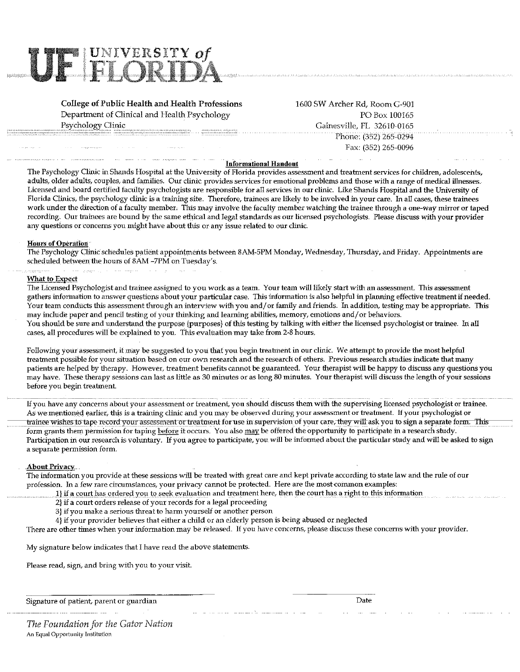

**College of Public Health and Health Professions** Department of Clinical and Health Psychology Psychology Clinic

1600 SW Archer Rd, Room G-901 PO Box 100165 Gainesville, FL 32610-0165 Phone: (352) 265-0294 Fax: (352) 265-0096

#### **Informational Handout**

The Psychology Clinic in Shands Hospital at the University of Florida provides assessment and treatment services for children, adolescents, adults, older adults, couples, and families. Our clinic provides services for emotional problems and those with a range of medical illnesses. Licensed and board certified faculty psychologists are responsible for all services in our clinic. Like Shands Hospital and the University of Florida Clinics, the psychology clinic is a training site. Therefore, trainees are likely to be involved in your care. In all cases, these trainees work under the direction of a faculty member. This may involve the faculty member watching the trainee through a one-way mirror or taped recording. Our trainees are bound by the same ethical and legal standards as our licensed psychologists. Please discuss with your provider any questions or concerns you might have about this or any issue related to our clinic.

#### **Hours of Operation**

The Psychology Clinic schedules patient appointments between 8AM-5PM Monday, Wednesday, Thursday, and Friday. Appointments are scheduled between the hours of 8AM -7PM on Tuesday's.

#### What to Expect

The Licensed Psychologist and trainee assigned to you work as a team. Your team will likely start with an assessment. This assessment gathers information to answer questions about your particular case. This information is also helpful in planning effective treatment if needed. Your team conducts this assessment through an interview with you and/or family and friends. In addition, testing may be appropriate. This may include paper and pencil testing of your thinking and learning abilities, memory, emotions and/or behaviors. You should be sure and understand the purpose {purposes} of this testing by talking with either the licensed psychologist or trainee. In all cases, all procedures will be explained to you. This evaluation may take from 2-8 hours.

Following your assessment, it may be suggested to you that you begin treatment in our clinic. We attempt to provide the most helpful treatment possible for your situation based on our own research and the research of others. Previous research studies indicate that many patients are helped by therapy. However, treatment benefits cannot be guaranteed. Your therapist will be happy to discuss any questions you may have. These therapy sessions can last as little as 30 minutes or as long 80 minutes. Your therapist will discuss the length of your sessions before you begin treatment.

If you have any concerns about your assessment or treatment, you should discuss them with the supervising licensed psychologist or trainee. As we mentioned earlier, this is a training clinic and you may be observed during your assessment or treatment. If your psychologist or trainee wishes to tape record your assessment or treatment for use in supervision of your care, they will ask you to sign a separate form. This form grants them permission for taping before it occurs. You also may be offered the opportunity to participate in a research study. Participation in our research is voluntary. If you agree to participate, you will be informed about the particular study and will be asked to sign a separate permission form.

## **About Privacy**

The information you provide at these sessions will be treated with great care and kept private according to state law and the rule of our profession. In a few rare circumstances, your privacy cannot be protected. Here are the most common examples:

- 1) if a court has ordered you to seek evaluation and treatment here, then the court has a right to this information
- 2} if a court orders release of your records for a legal proceeding
- 3} if you make a serious threat to harm yourself or another person
- 4) if your provider believes that either a child or an elderly person is being abused or neglected

There are other times when your information may be released. If you have concerns, please discuss these concerns with your provider.

My signature below indicates that I have read the above statements.

Please read, sign, and bring with you to your visit.

Signature of patient, parent or guardian

Date

The Foundation for the Gator Nation An Equal Opportunity Institution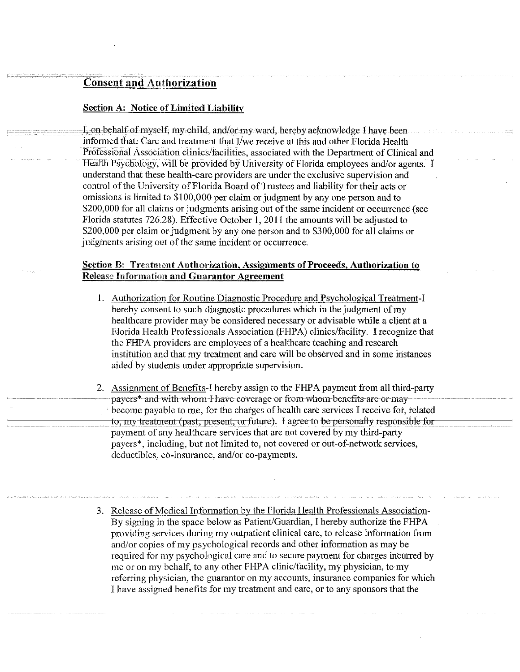# **Consent and Authorization**

## **Section A: Notice of Limited Liability**

I, on behalf of myself, my child, and/or my ward, hereby acknowledge I have been informed that: Care and treatment that I/we receive at this and other Florida Health Professional Association clinics/facilities, associated with the Department of Clinical and Health Psychology, will be provided by University of Florida employees and/or agents. I understand that these health-care providers are under the exclusive supervision and control of the University of Florida Board of Trustees and liability for their acts or omissions is limited to \$100,000 per claim or judgment by any one person and to \$200,000 for all claims or judgments arising out of the same incident or occurrence (see Florida statutes 726.28). Effective October 1, 2011 the amounts will be adjusted to \$200,000 per claim or judgment by any one person and to \$300,000 for all claims or judgments arising out of the same incident or occurrence.

# **Section B: Treatment Authorization, Assignments of Proceeds, Authorization to Release Information and Guarantor Agreement**

- 1. Authorization for Routine Diagnostic Procedure and Psychological Treatment-I hereby consent to such diagnostic procedures which in the judgment of my healthcare provider may be considered necessary or advisable while a client at a Florida Health Professionals Association (FHPA) clinics/facility. I recognize that the FHPA providers are employees of a healthcare teaching and research institution and that my treatment and care will be observed and in some instances aided by students under appropriate supervision.
- 2. Assignment of Benefits-I hereby assign to the FHPA payment from all third-party payers\* and with whom I have coverage or from whom benefits are or may become payable to me, for the charges of health care services I receive for, related to, my treatment (past, present, or future). I agree to be personally responsible for payment of any healthcare services that are not covered by my third-party payers\*, including, but not limited to, not covered or out-of-network services, deductibles, co-insurance, and/or co-payments.
- 3. Release of Medical Information by the Florida Health Professionals Association-By signing in the space below as Patient/Guardian, I hereby authorize the FHPA providing services during my outpatient clinical care, to release information from and/or copies of my psychological records and other information as may be required for my psychological care and to secure payment for charges incurred by me or on my behalf, to any other FHPA clinic/facility, my physician, to my referring physician, the guarantor on my accounts, insurance companies for which I have assigned benefits for my treatment and care, or to any sponsors that the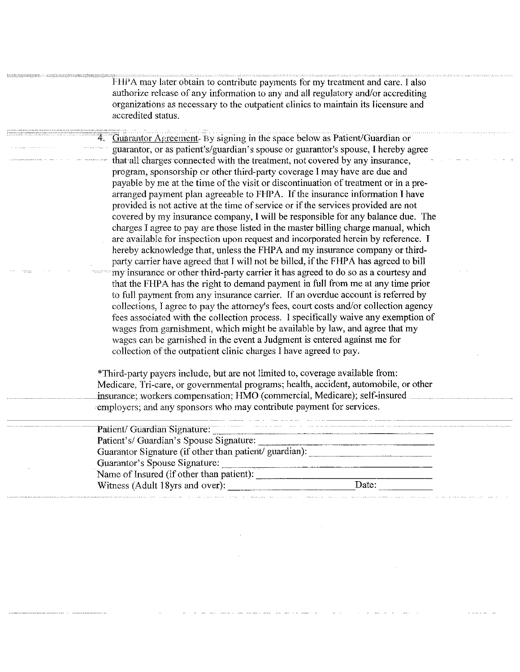FHPA may later obtain to contribute payments for my treatment and care. I also authorize release of any information to any and all regulatory and/or accrediting organizations as necessary to the outpatient clinics to maintain its licensure and accredited status.

Guarantor Agreement- By signing in the space below as Patient/Guardian or guarantor, or as patient's/guardian's spouse or guarantor's spouse, I hereby agree that all charges connected with the treatment, not covered by any insurance, program, sponsorship or other third-party coverage I may have are due and payable by me at the time of the visit or discontinuation of treatment or in a prearranged payment plan agreeable to FHPA. If the insurance information I have provided is not active at the time of service or if the services provided are not covered by my insurance company, I will be responsible for any balance due. The charges I agree to pay are those listed in the master billing charge manual, which are available for inspection upon request and incorporated herein by reference. I hereby acknowledge that, unless the FHPA and my insurance company or thirdparty carrier have agreed that I will not be billed, if the FHPA has agreed to bill my insurance or other third-party carrier it has agreed to do so as a courtesy and that the FHPA has the right to demand payment in full from me at any time prior to full payment from any insurance carrier. If an overdue account is referred by collections, I agree to pay the attorney's fees, court costs and/or collection agency fees associated with the collection process. I specifically waive any exemption of wages from garnishment, which might be available by law, and agree that my wages can be garnished in the event a Judgment is entered against me for collection of the outpatient clinic charges I have agreed to pay.

\*Third-party payers include, but are not limited to, coverage available from: Medicare, Tri-care, or governmental programs; health, accident, automobile, or other insurance; workers compensation; HMO (commercial, Medicare); self-insured employers; and any sponsors who may contribute payment for services.

| Patient/ Guardian Signature:                           | the continuous company of the fundamental company of the first that |
|--------------------------------------------------------|---------------------------------------------------------------------|
| Patient's/ Guardian's Spouse Signature:                |                                                                     |
| Guarantor Signature (if other than patient/ guardian): |                                                                     |
| Guarantor's Spouse Signature:                          |                                                                     |
| <br>Name of Insured (if other than patient):           |                                                                     |
| Witness (Adult 18yrs and over):                        | Date:                                                               |